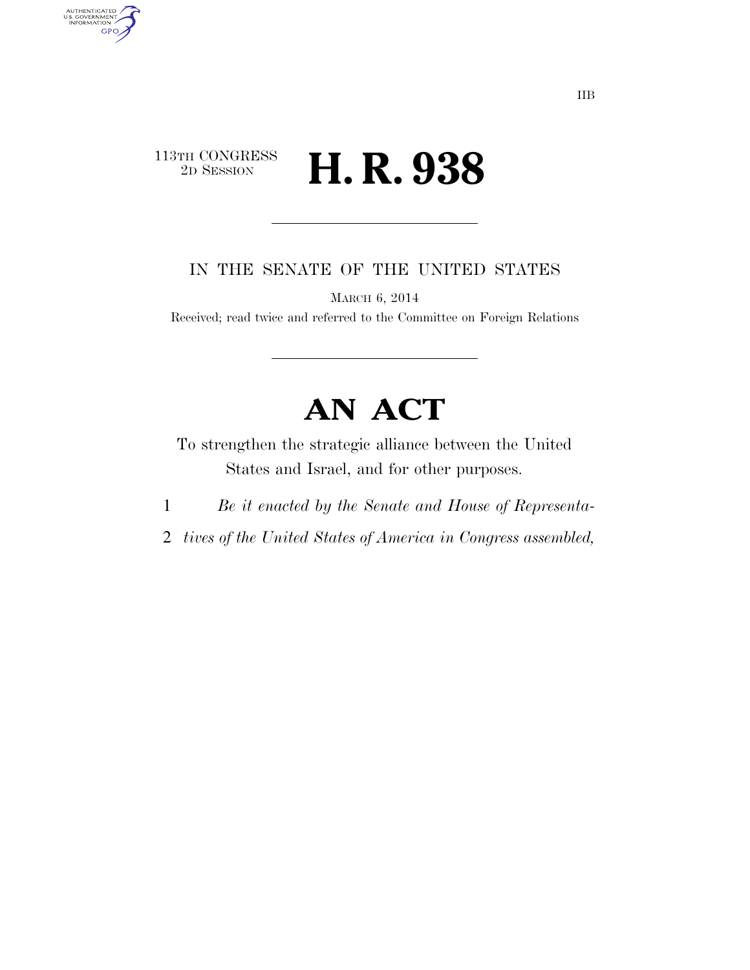### 113TH CONGRESS<br>2D SESSION 2D SESSION **H. R. 938**

AUTHENTICATED<br>U.S. GOVERNMENT<br>INFORMATION

**GPO** 

IN THE SENATE OF THE UNITED STATES

MARCH 6, 2014

Received; read twice and referred to the Committee on Foreign Relations

# **AN ACT**

To strengthen the strategic alliance between the United States and Israel, and for other purposes.

- 1 *Be it enacted by the Senate and House of Representa-*
- 2 *tives of the United States of America in Congress assembled,*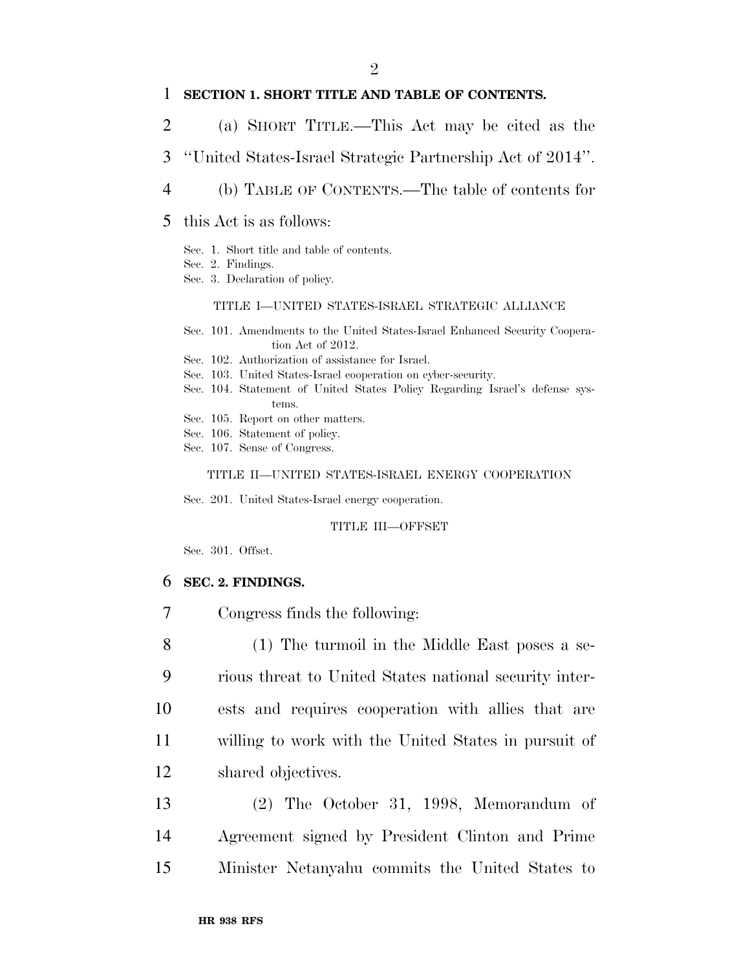#### 1 **SECTION 1. SHORT TITLE AND TABLE OF CONTENTS.**

- 2 (a) SHORT TITLE.—This Act may be cited as the
- 3 ''United States-Israel Strategic Partnership Act of 2014''.
- 4 (b) TABLE OF CONTENTS.—The table of contents for
- 5 this Act is as follows:
	- Sec. 1. Short title and table of contents.
	- Sec. 2. Findings.
	- Sec. 3. Declaration of policy.

#### TITLE I—UNITED STATES-ISRAEL STRATEGIC ALLIANCE

- Sec. 101. Amendments to the United States-Israel Enhanced Security Cooperation Act of 2012.
- Sec. 102. Authorization of assistance for Israel.
- Sec. 103. United States-Israel cooperation on cyber-security.
- Sec. 104. Statement of United States Policy Regarding Israel's defense systems.
- Sec. 105. Report on other matters.
- Sec. 106. Statement of policy.
- Sec. 107. Sense of Congress.

#### TITLE II—UNITED STATES-ISRAEL ENERGY COOPERATION

Sec. 201. United States-Israel energy cooperation.

#### TITLE III—OFFSET

Sec. 301. Offset.

#### 6 **SEC. 2. FINDINGS.**

7 Congress finds the following:

 (1) The turmoil in the Middle East poses a se- rious threat to United States national security inter- ests and requires cooperation with allies that are willing to work with the United States in pursuit of shared objectives.

13 (2) The October 31, 1998, Memorandum of 14 Agreement signed by President Clinton and Prime 15 Minister Netanyahu commits the United States to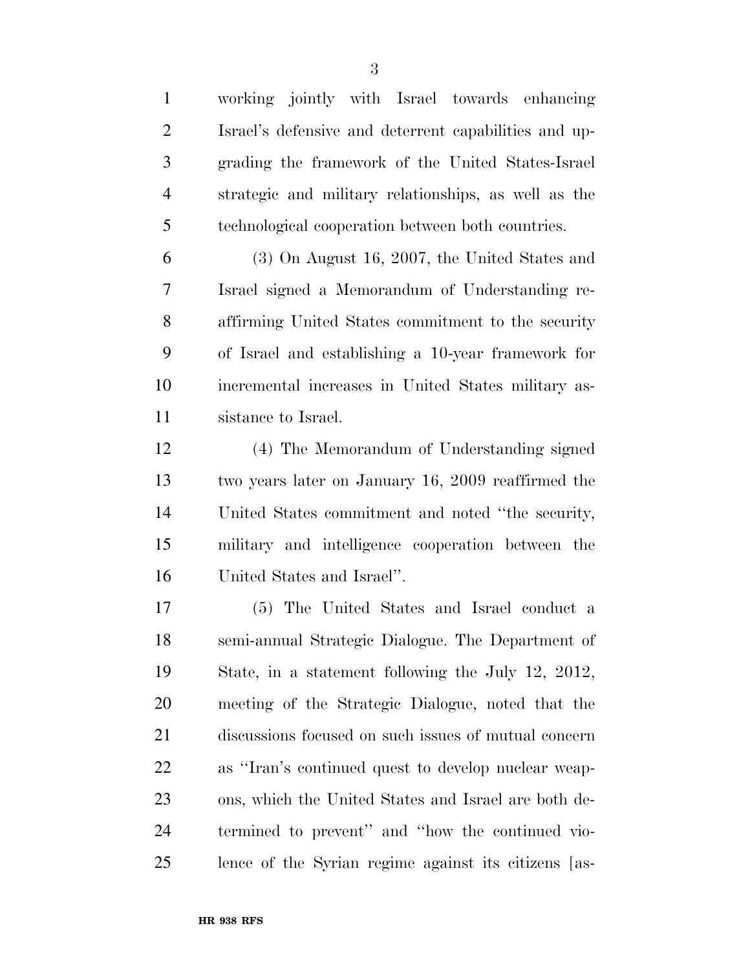working jointly with Israel towards enhancing Israel's defensive and deterrent capabilities and up- grading the framework of the United States-Israel strategic and military relationships, as well as the technological cooperation between both countries. (3) On August 16, 2007, the United States and Israel signed a Memorandum of Understanding re- affirming United States commitment to the security of Israel and establishing a 10-year framework for incremental increases in United States military as- sistance to Israel. (4) The Memorandum of Understanding signed two years later on January 16, 2009 reaffirmed the United States commitment and noted ''the security, military and intelligence cooperation between the United States and Israel''. (5) The United States and Israel conduct a semi-annual Strategic Dialogue. The Department of State, in a statement following the July 12, 2012, meeting of the Strategic Dialogue, noted that the discussions focused on such issues of mutual concern as ''Iran's continued quest to develop nuclear weap- ons, which the United States and Israel are both de- termined to prevent'' and ''how the continued vio-lence of the Syrian regime against its citizens [as-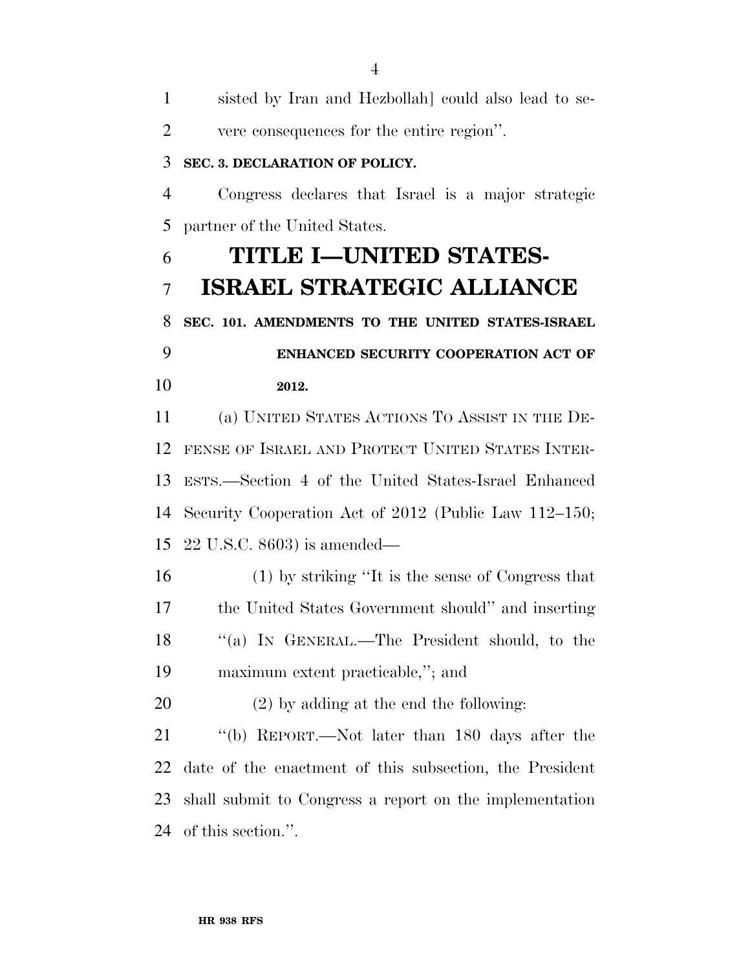| $\mathbf{1}$   | sisted by Iran and Hezbollah] could also lead to se-    |
|----------------|---------------------------------------------------------|
| $\overline{2}$ | vere consequences for the entire region".               |
| 3              | SEC. 3. DECLARATION OF POLICY.                          |
| $\overline{4}$ | Congress declares that Israel is a major strategic      |
| 5              | partner of the United States.                           |
| 6              | TITLE I—UNITED STATES-                                  |
| 7              | <b>ISRAEL STRATEGIC ALLIANCE</b>                        |
| 8              | SEC. 101. AMENDMENTS TO THE UNITED STATES-ISRAEL        |
| 9              | ENHANCED SECURITY COOPERATION ACT OF                    |
| 10             | 2012.                                                   |
| 11             | (a) UNITED STATES ACTIONS TO ASSIST IN THE DE-          |
| 12             | FENSE OF ISRAEL AND PROTECT UNITED STATES INTER-        |
| 13             | ESTS.—Section 4 of the United States-Israel Enhanced    |
| 14             | Security Cooperation Act of 2012 (Public Law 112–150;   |
| 15             | $22$ U.S.C. 8603) is amended—                           |
| 16             | $(1)$ by striking "It is the sense of Congress that     |
| 17             | the United States Government should" and inserting      |
| 18             | "(a) IN GENERAL.—The President should, to the           |
| 19             | maximum extent practicable,"; and                       |
| 20             | $(2)$ by adding at the end the following:               |
| 21             | "(b) REPORT.—Not later than 180 days after the          |
| 22             | date of the enactment of this subsection, the President |
| 23             | shall submit to Congress a report on the implementation |
| 24             | of this section.".                                      |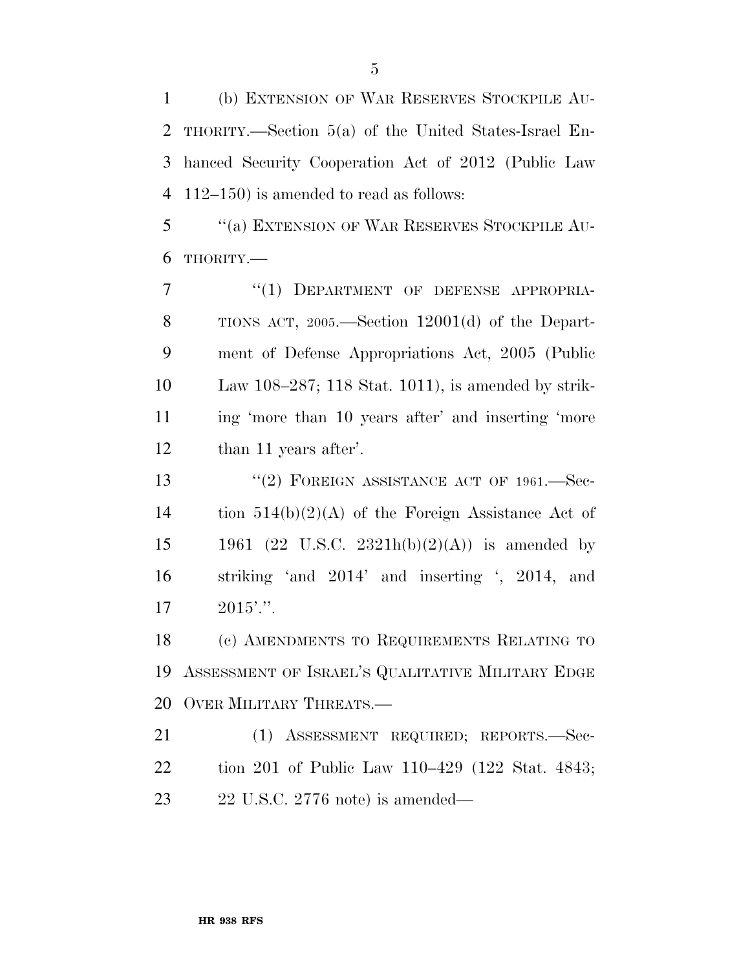(b) EXTENSION OF WAR RESERVES STOCKPILE AU- THORITY.—Section 5(a) of the United States-Israel En- hanced Security Cooperation Act of 2012 (Public Law 112–150) is amended to read as follows:

 ''(a) EXTENSION OF WAR RESERVES STOCKPILE AU-THORITY.—

7 "(1) DEPARTMENT OF DEFENSE APPROPRIA- TIONS ACT, 2005.—Section 12001(d) of the Depart- ment of Defense Appropriations Act, 2005 (Public Law 108–287; 118 Stat. 1011), is amended by strik- ing 'more than 10 years after' and inserting 'more than 11 years after'.

13 "(2) FOREIGN ASSISTANCE ACT OF 1961. Sec- tion 514(b)(2)(A) of the Foreign Assistance Act of 15 1961 (22 U.S.C. 2321h(b)(2)(A)) is amended by striking 'and 2014' and inserting ', 2014, and  $17 \t2015$ '.''.

 (c) AMENDMENTS TO REQUIREMENTS RELATING TO ASSESSMENT OF ISRAEL'S QUALITATIVE MILITARY EDGE OVER MILITARY THREATS.—

 (1) ASSESSMENT REQUIRED; REPORTS.—Sec- tion 201 of Public Law 110–429 (122 Stat. 4843; 22 U.S.C. 2776 note) is amended—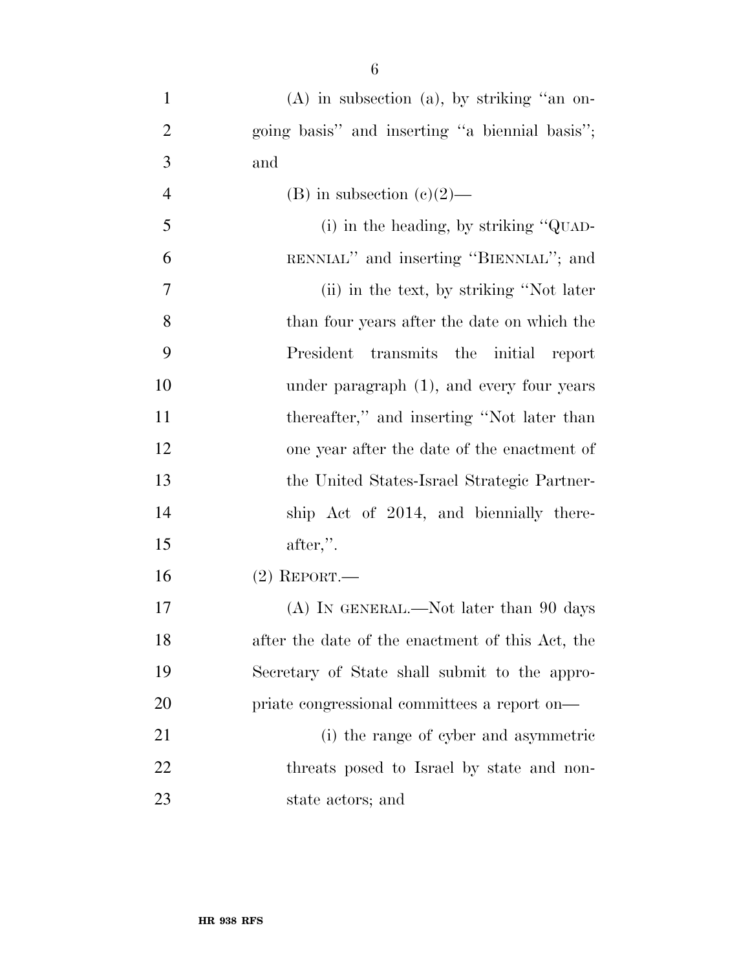| $\mathbf{1}$   | $(A)$ in subsection $(a)$ , by striking "an on-     |
|----------------|-----------------------------------------------------|
| $\overline{2}$ | going basis" and inserting "a biennial basis";      |
| 3              | and                                                 |
| $\overline{4}$ | (B) in subsection $(c)(2)$ —                        |
| 5              | (i) in the heading, by striking " $\mathbf{Q}$ UAD- |
| 6              | RENNIAL" and inserting "BIENNIAL"; and              |
| $\tau$         | (ii) in the text, by striking "Not later            |
| 8              | than four years after the date on which the         |
| 9              | transmits the initial report<br>President           |
| 10             | under paragraph $(1)$ , and every four years        |
| 11             | thereafter," and inserting "Not later than          |
| 12             | one year after the date of the enactment of         |
| 13             | the United States-Israel Strategic Partner-         |
| 14             | ship Act of 2014, and biennially there-             |
| 15             | $after,$ ".                                         |
| 16             | $(2)$ REPORT.—                                      |
| 17             | (A) IN GENERAL.—Not later than 90 days              |
| 18             | after the date of the enactment of this Act, the    |
| 19             | Secretary of State shall submit to the appro-       |
| 20             | priate congressional committees a report on—        |
| 21             | (i) the range of cyber and asymmetric               |
| 22             | threats posed to Israel by state and non-           |
| 23             | state actors; and                                   |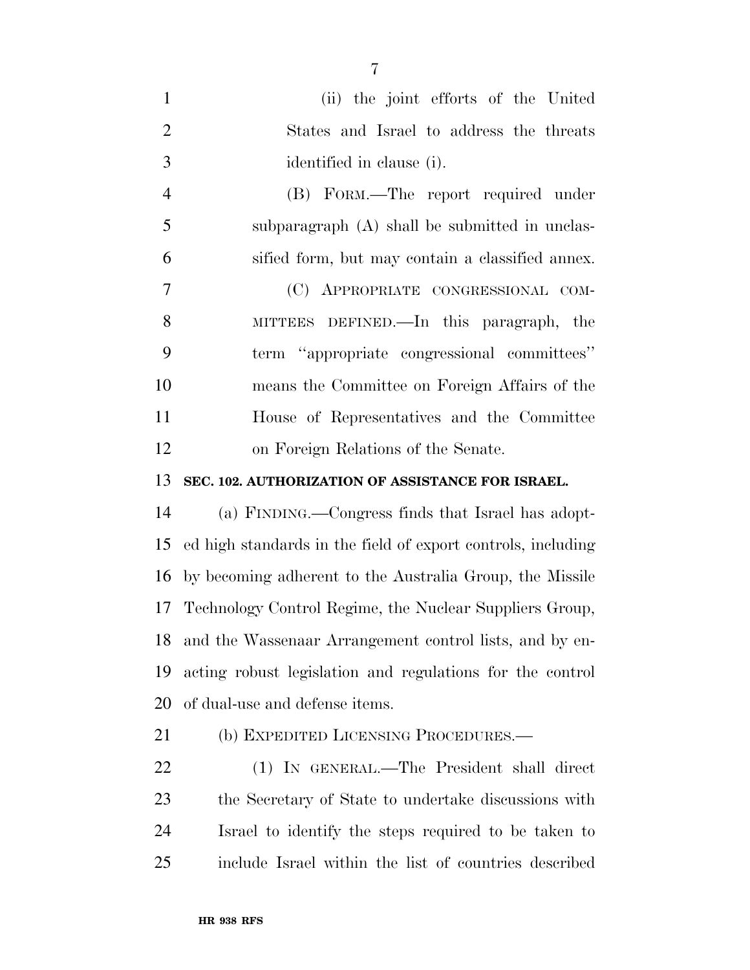| $\mathbf{1}$   | (ii) the joint efforts of the United                         |
|----------------|--------------------------------------------------------------|
| $\overline{2}$ | States and Israel to address the threats                     |
| 3              | identified in clause (i).                                    |
| $\overline{4}$ | (B) FORM.—The report required under                          |
| 5              | subparagraph (A) shall be submitted in unclas-               |
| 6              | sified form, but may contain a classified annex.             |
| 7              | (C) APPROPRIATE CONGRESSIONAL COM-                           |
| 8              | MITTEES DEFINED.—In this paragraph, the                      |
| 9              | term "appropriate congressional committees"                  |
| 10             | means the Committee on Foreign Affairs of the                |
| 11             | House of Representatives and the Committee                   |
| 12             | on Foreign Relations of the Senate.                          |
| 13             | SEC. 102. AUTHORIZATION OF ASSISTANCE FOR ISRAEL.            |
| 14             | (a) FINDING.—Congress finds that Israel has adopt-           |
| 15             | ed high standards in the field of export controls, including |
| 16             | by becoming adherent to the Australia Group, the Missile     |
| 17             | Technology Control Regime, the Nuclear Suppliers Group,      |
| 18             | and the Wassenaar Arrangement control lists, and by en-      |
| 19             | acting robust legislation and regulations for the control    |
| 20             | of dual-use and defense items.                               |
| 21             | (b) EXPEDITED LICENSING PROCEDURES.-                         |
| $\cap$         | $(1)$ Ly $\alpha$ Dependent $\alpha$ Dependent shell direct  |

 (1) IN GENERAL.—The President shall direct the Secretary of State to undertake discussions with Israel to identify the steps required to be taken to include Israel within the list of countries described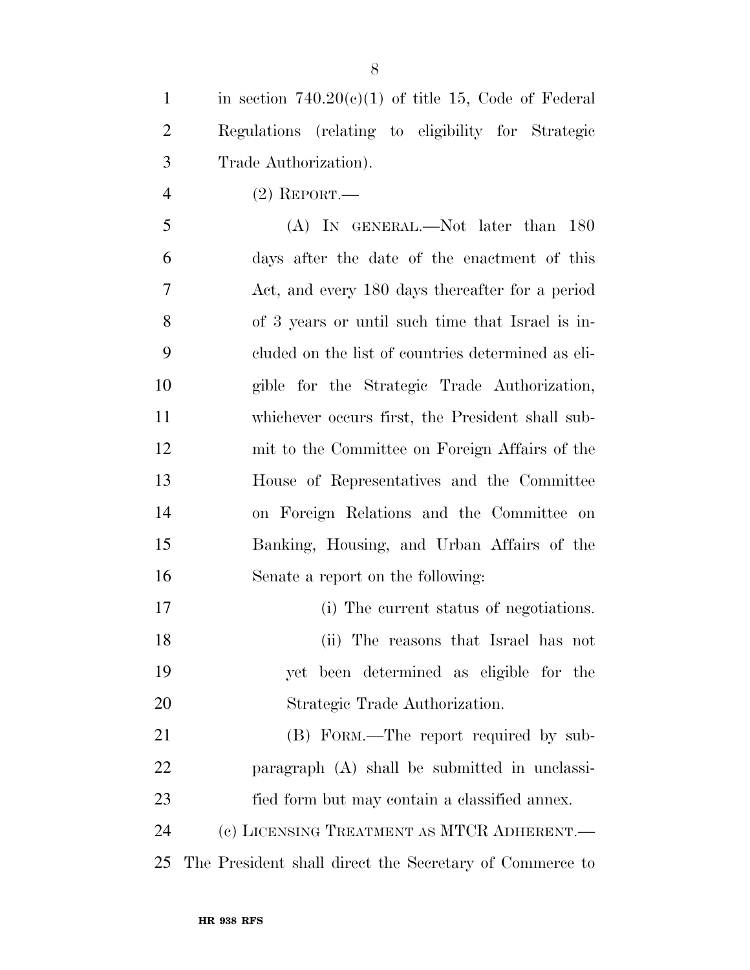| 1 | in section $740.20(c)(1)$ of title 15, Code of Federal |
|---|--------------------------------------------------------|
| 2 | Regulations (relating to eligibility for Strategic     |
| 3 | Trade Authorization).                                  |

(2) REPORT.—

 (A) IN GENERAL.—Not later than 180 days after the date of the enactment of this Act, and every 180 days thereafter for a period of 3 years or until such time that Israel is in- cluded on the list of countries determined as eli- gible for the Strategic Trade Authorization, whichever occurs first, the President shall sub- mit to the Committee on Foreign Affairs of the House of Representatives and the Committee on Foreign Relations and the Committee on Banking, Housing, and Urban Affairs of the Senate a report on the following:

- (i) The current status of negotiations.
- (ii) The reasons that Israel has not yet been determined as eligible for the Strategic Trade Authorization.

 (B) FORM.—The report required by sub- paragraph (A) shall be submitted in unclassi- fied form but may contain a classified annex. (c) LICENSING TREATMENT AS MTCR ADHERENT.—

The President shall direct the Secretary of Commerce to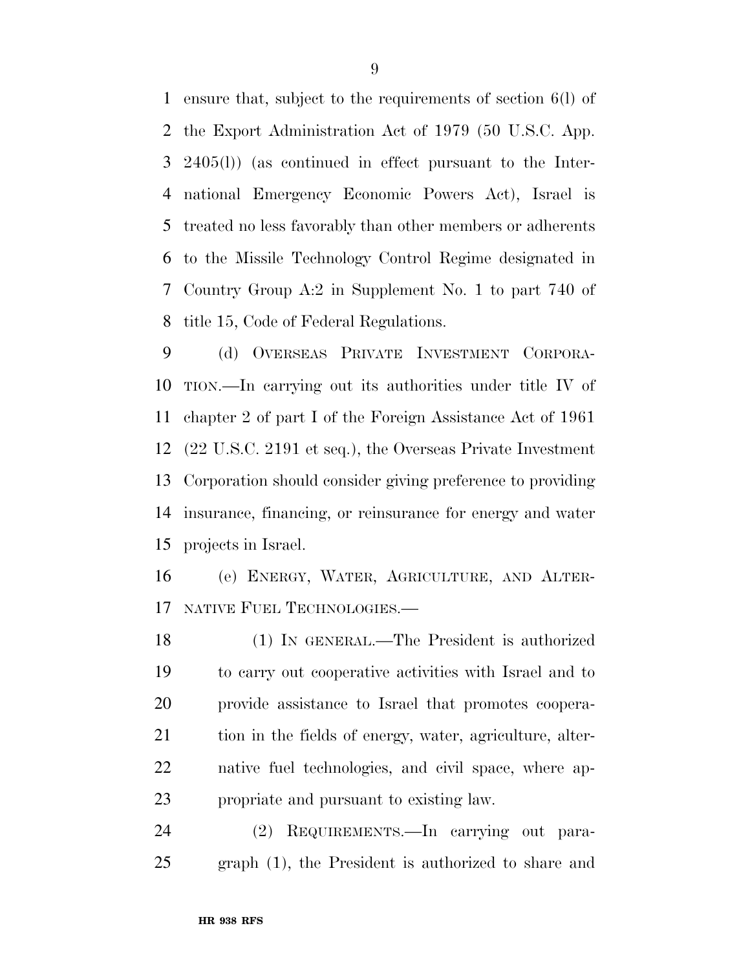ensure that, subject to the requirements of section 6(l) of the Export Administration Act of 1979 (50 U.S.C. App. 2405(l)) (as continued in effect pursuant to the Inter- national Emergency Economic Powers Act), Israel is treated no less favorably than other members or adherents to the Missile Technology Control Regime designated in Country Group A:2 in Supplement No. 1 to part 740 of title 15, Code of Federal Regulations.

 (d) OVERSEAS PRIVATE INVESTMENT CORPORA- TION.—In carrying out its authorities under title IV of chapter 2 of part I of the Foreign Assistance Act of 1961 (22 U.S.C. 2191 et seq.), the Overseas Private Investment Corporation should consider giving preference to providing insurance, financing, or reinsurance for energy and water projects in Israel.

 (e) ENERGY, WATER, AGRICULTURE, AND ALTER-NATIVE FUEL TECHNOLOGIES.—

 (1) IN GENERAL.—The President is authorized to carry out cooperative activities with Israel and to provide assistance to Israel that promotes coopera-21 tion in the fields of energy, water, agriculture, alter- native fuel technologies, and civil space, where ap-propriate and pursuant to existing law.

 (2) REQUIREMENTS.—In carrying out para-graph (1), the President is authorized to share and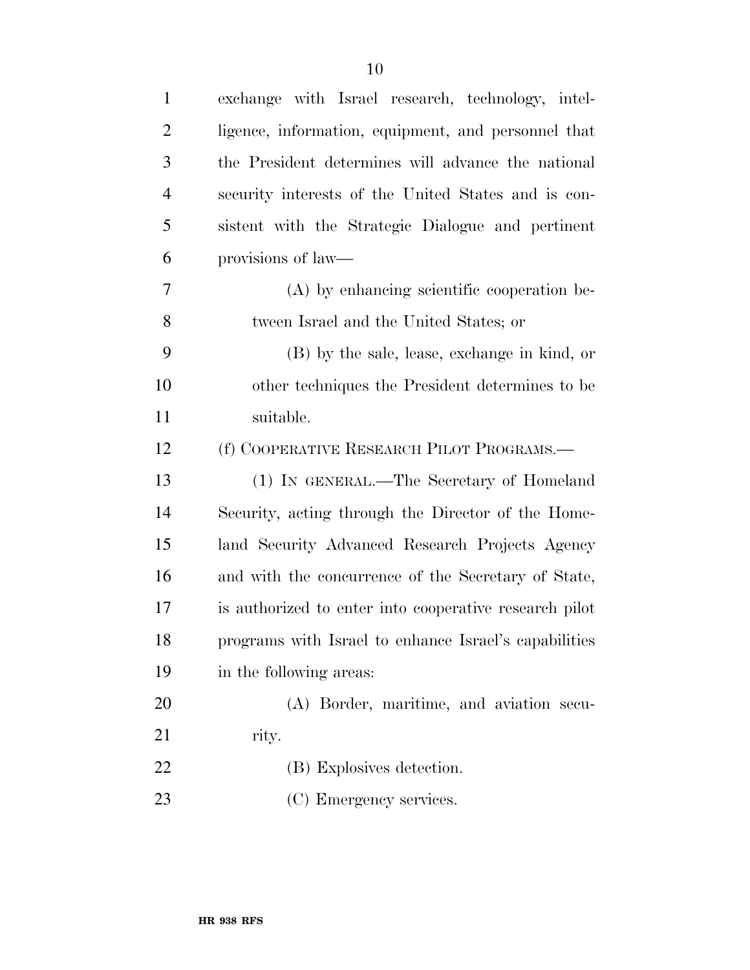| $\mathbf{1}$   | exchange with Israel research, technology, intel-      |
|----------------|--------------------------------------------------------|
| $\overline{2}$ | ligence, information, equipment, and personnel that    |
| 3              | the President determines will advance the national     |
| $\overline{4}$ | security interests of the United States and is con-    |
| 5              | sistent with the Strategic Dialogue and pertinent      |
| 6              | provisions of law—                                     |
| 7              | (A) by enhancing scientific cooperation be-            |
| 8              | tween Israel and the United States; or                 |
| 9              | (B) by the sale, lease, exchange in kind, or           |
| 10             | other techniques the President determines to be        |
| 11             | suitable.                                              |
| 12             | (f) COOPERATIVE RESEARCH PILOT PROGRAMS.—              |
| 13             | (1) IN GENERAL.—The Secretary of Homeland              |
| 14             | Security, acting through the Director of the Home-     |
| 15             | land Security Advanced Research Projects Agency        |
| 16             | and with the concurrence of the Secretary of State,    |
| 17             | is authorized to enter into cooperative research pilot |
| 18             | programs with Israel to enhance Israel's capabilities  |
| 19             | in the following areas:                                |
| 20             | (A) Border, maritime, and aviation secu-               |
| 21             | rity.                                                  |
| 22             | (B) Explosives detection.                              |
| 23             | (C) Emergency services.                                |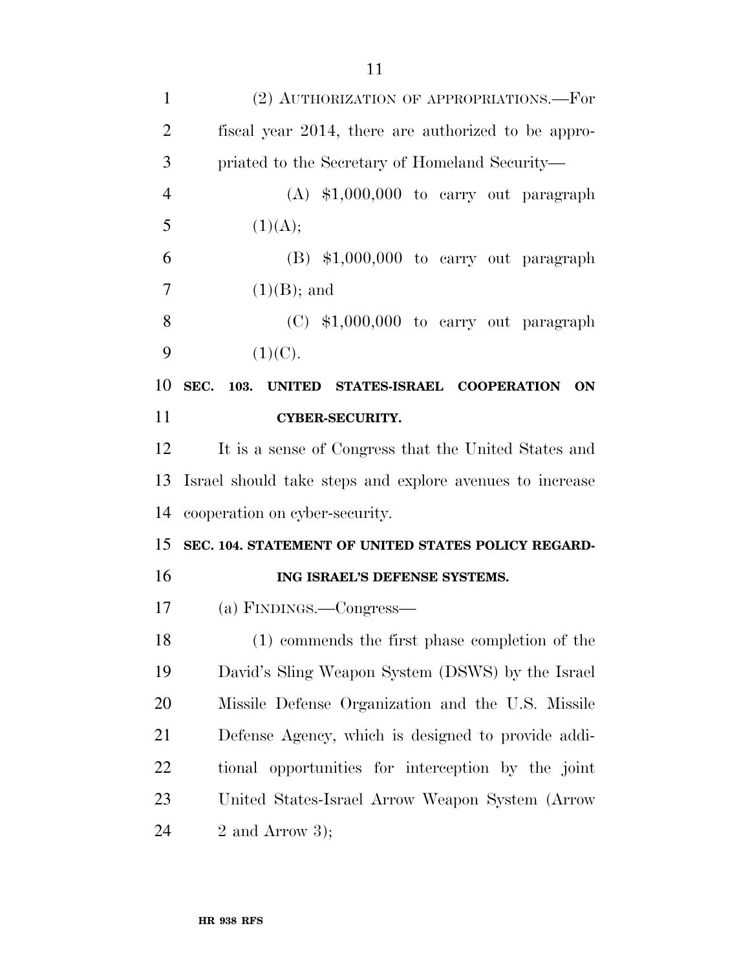| $\mathbf{1}$               | (2) AUTHORIZATION OF APPROPRIATIONS.—For                 |
|----------------------------|----------------------------------------------------------|
| $\overline{2}$             | fiscal year 2014, there are authorized to be appro-      |
| 3                          | priated to the Secretary of Homeland Security—           |
| $\overline{4}$             | $(A)$ \$1,000,000 to carry out paragraph                 |
| 5                          | (1)(A);                                                  |
| 6                          | $(B)$ \$1,000,000 to carry out paragraph                 |
| 7                          | $(1)(B)$ ; and                                           |
| 8                          | $(C)$ \$1,000,000 to carry out paragraph                 |
| 9                          | (1)(C).                                                  |
| 10                         | SEC. 103. UNITED STATES-ISRAEL COOPERATION<br>ON         |
| 11                         | <b>CYBER-SECURITY.</b>                                   |
| 12                         | It is a sense of Congress that the United States and     |
|                            |                                                          |
|                            | Israel should take steps and explore avenues to increase |
|                            | cooperation on cyber-security.                           |
|                            | SEC. 104. STATEMENT OF UNITED STATES POLICY REGARD-      |
|                            | ING ISRAEL'S DEFENSE SYSTEMS.                            |
| 13<br>14<br>15<br>16<br>17 | (a) FINDINGS.—Congress—                                  |
| 18                         | (1) commends the first phase completion of the           |
|                            | David's Sling Weapon System (DSWS) by the Israel         |
| 19<br>20                   | Missile Defense Organization and the U.S. Missile        |
| 21                         | Defense Agency, which is designed to provide addi-       |
| 22                         | tional opportunities for interception by the joint       |
| 23                         | United States-Israel Arrow Weapon System (Arrow          |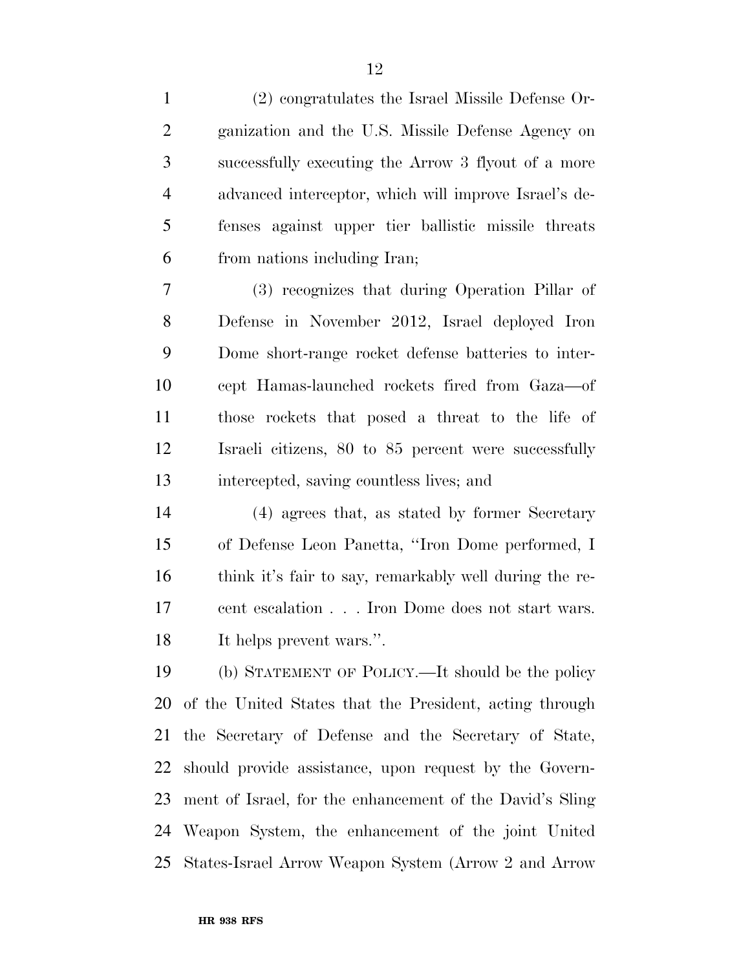(2) congratulates the Israel Missile Defense Or-

| $\overline{2}$ | ganization and the U.S. Missile Defense Agency on        |
|----------------|----------------------------------------------------------|
| 3              | successfully executing the Arrow 3 flyout of a more      |
| $\overline{4}$ | advanced interceptor, which will improve Israel's de-    |
| 5              | fenses against upper tier ballistic missile threats      |
| 6              | from nations including Iran;                             |
| 7              | (3) recognizes that during Operation Pillar of           |
| 8              | Defense in November 2012, Israel deployed Iron           |
| 9              | Dome short-range rocket defense batteries to inter-      |
| 10             | cept Hamas-launched rockets fired from Gaza—of           |
| 11             | those rockets that posed a threat to the life of         |
| 12             | Israeli citizens, 80 to 85 percent were successfully     |
| 13             | intercepted, saving countless lives; and                 |
| 14             | (4) agrees that, as stated by former Secretary           |
| 15             | of Defense Leon Panetta, "Iron Dome performed, I         |
| 16             | think it's fair to say, remarkably well during the re-   |
| 17             | cent escalation Iron Dome does not start wars.           |
| 18             | It helps prevent wars.".                                 |
| 19             | (b) STATEMENT OF POLICY.—It should be the policy         |
| 20             | of the United States that the President, acting through  |
| 21             | the Secretary of Defense and the Secretary of State,     |
| 22             | should provide assistance, upon request by the Govern-   |
| 23             | ment of Israel, for the enhancement of the David's Sling |
| 24             | Weapon System, the enhancement of the joint United       |
| 25             | States-Israel Arrow Weapon System (Arrow 2 and Arrow     |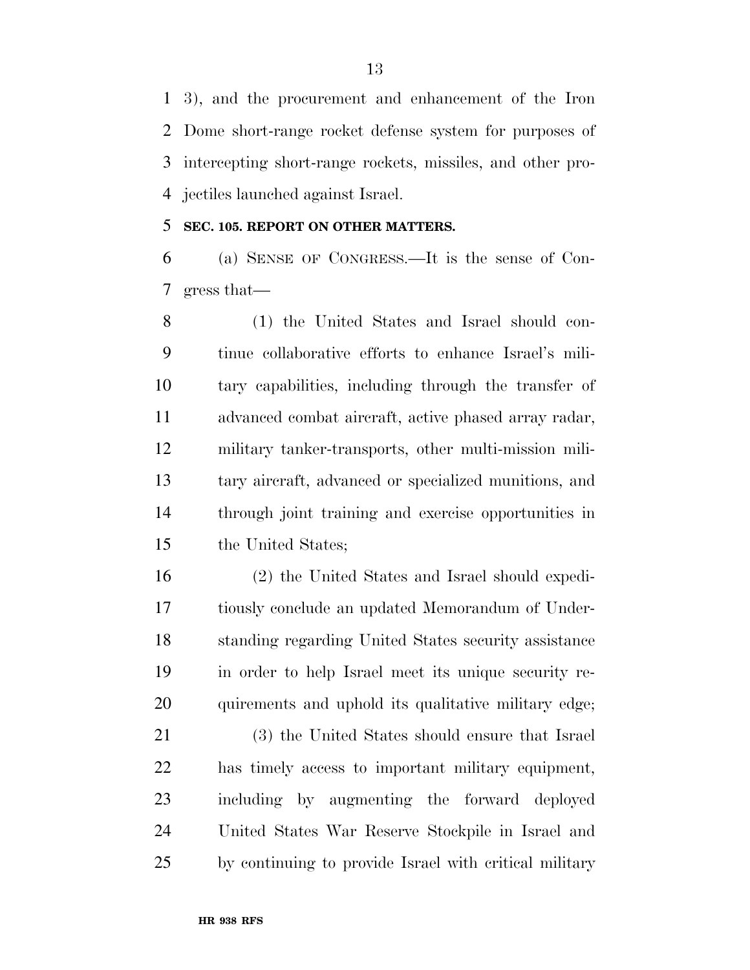3), and the procurement and enhancement of the Iron Dome short-range rocket defense system for purposes of intercepting short-range rockets, missiles, and other pro-jectiles launched against Israel.

#### **SEC. 105. REPORT ON OTHER MATTERS.**

 (a) SENSE OF CONGRESS.—It is the sense of Con-gress that—

 (1) the United States and Israel should con- tinue collaborative efforts to enhance Israel's mili- tary capabilities, including through the transfer of advanced combat aircraft, active phased array radar, military tanker-transports, other multi-mission mili- tary aircraft, advanced or specialized munitions, and through joint training and exercise opportunities in the United States;

 (2) the United States and Israel should expedi- tiously conclude an updated Memorandum of Under- standing regarding United States security assistance in order to help Israel meet its unique security re-quirements and uphold its qualitative military edge;

 (3) the United States should ensure that Israel has timely access to important military equipment, including by augmenting the forward deployed United States War Reserve Stockpile in Israel and by continuing to provide Israel with critical military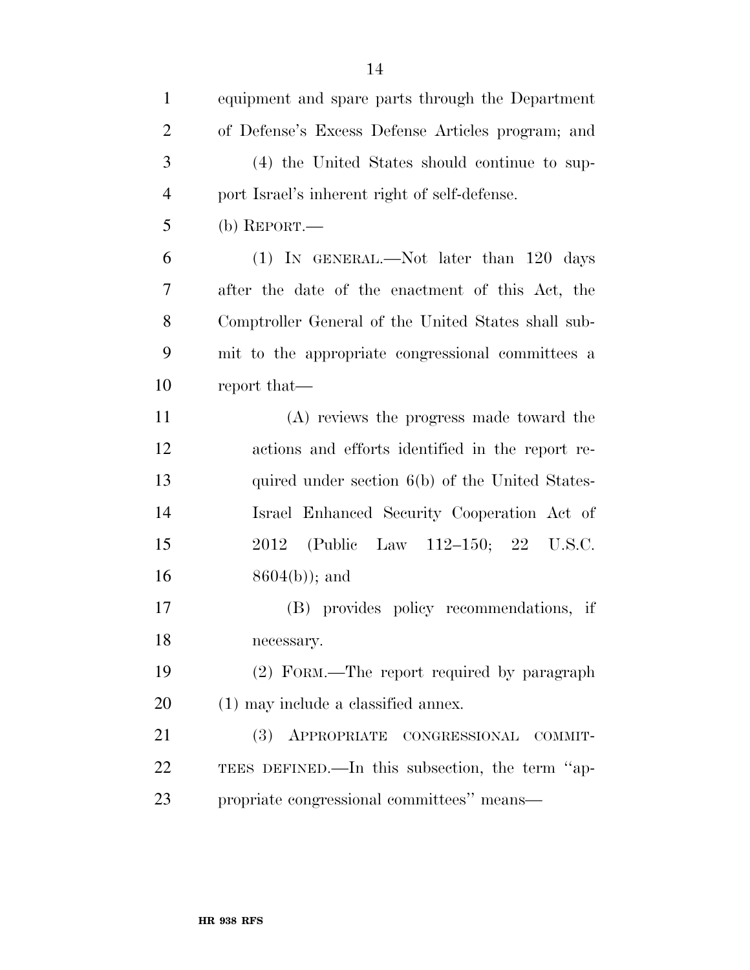| $\mathbf{1}$   | equipment and spare parts through the Department    |
|----------------|-----------------------------------------------------|
| $\overline{2}$ | of Defense's Excess Defense Articles program; and   |
| 3              | (4) the United States should continue to sup-       |
| $\overline{4}$ | port Israel's inherent right of self-defense.       |
| 5              | (b) REPORT.—                                        |
| 6              | (1) IN GENERAL.—Not later than 120 days             |
| 7              | after the date of the enactment of this Act, the    |
| 8              | Comptroller General of the United States shall sub- |
| 9              | mit to the appropriate congressional committees a   |
| 10             | report that—                                        |
| 11             | (A) reviews the progress made toward the            |
| 12             | actions and efforts identified in the report re-    |
| 13             | quired under section 6(b) of the United States-     |
| 14             | Israel Enhanced Security Cooperation Act of         |
| 15             | 2012 (Public Law 112-150; 22 U.S.C.                 |
| 16             | $8604(b)$ ; and                                     |
| 17             | (B) provides policy recommendations, if             |
| 18             | necessary.                                          |
| 19             | (2) FORM.—The report required by paragraph          |
| 20             | $(1)$ may include a classified annex.               |
| 21             | (3)<br>APPROPRIATE CONGRESSIONAL<br>COMMIT-         |
| 22             | TEES DEFINED.—In this subsection, the term "ap-     |
| 23             | propriate congressional committees" means-          |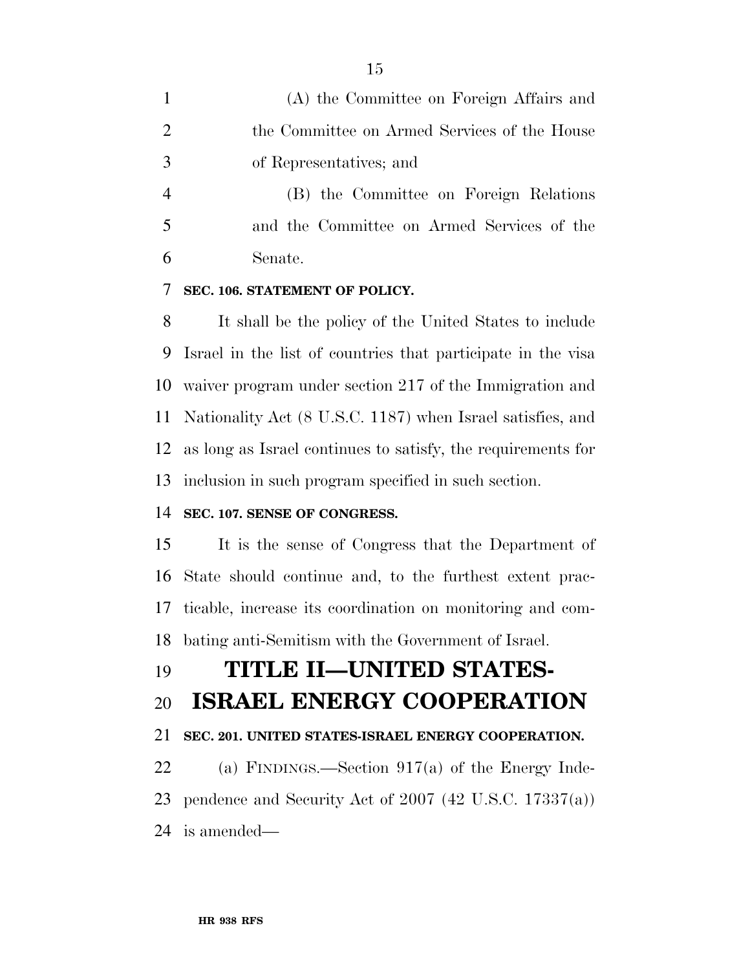|                | (A) the Committee on Foreign Affairs and     |
|----------------|----------------------------------------------|
| 2              | the Committee on Armed Services of the House |
| 3              | of Representatives; and                      |
| $\overline{4}$ | (B) the Committee on Foreign Relations       |
| 5              | and the Committee on Armed Services of the   |
| 6              | Senate.                                      |

### **SEC. 106. STATEMENT OF POLICY.**

 It shall be the policy of the United States to include Israel in the list of countries that participate in the visa waiver program under section 217 of the Immigration and Nationality Act (8 U.S.C. 1187) when Israel satisfies, and as long as Israel continues to satisfy, the requirements for inclusion in such program specified in such section.

#### **SEC. 107. SENSE OF CONGRESS.**

 It is the sense of Congress that the Department of State should continue and, to the furthest extent prac- ticable, increase its coordination on monitoring and com-bating anti-Semitism with the Government of Israel.

# **TITLE II—UNITED STATES-**

## **ISRAEL ENERGY COOPERATION**

#### **SEC. 201. UNITED STATES-ISRAEL ENERGY COOPERATION.**

 (a) FINDINGS.—Section 917(a) of the Energy Inde- pendence and Security Act of 2007 (42 U.S.C. 17337(a)) is amended—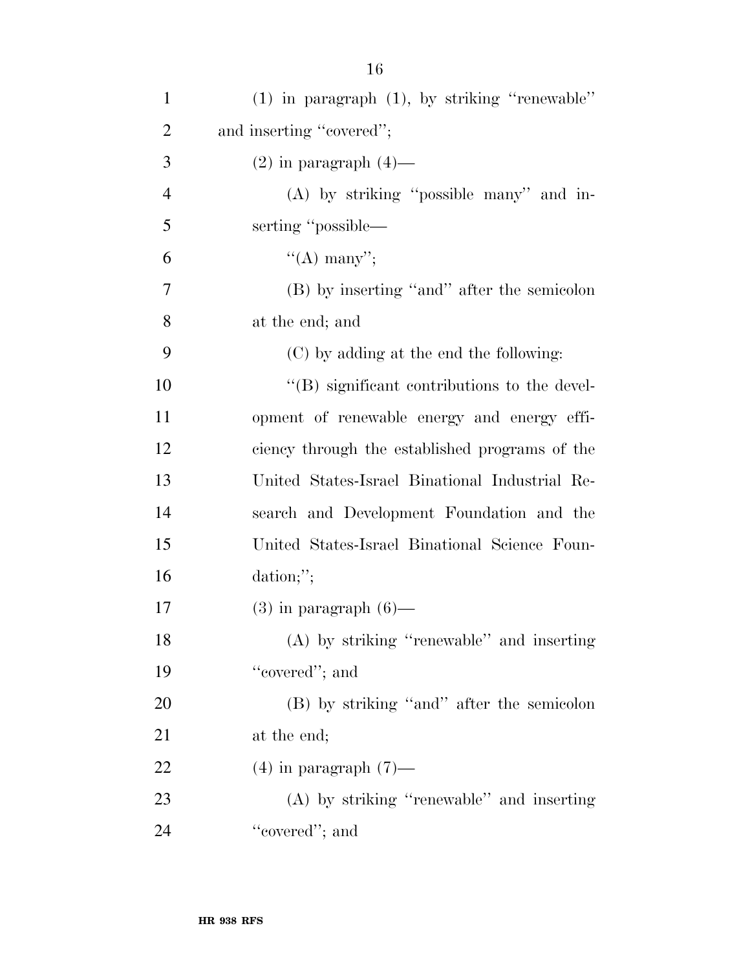| $\mathbf{1}$   | $(1)$ in paragraph $(1)$ , by striking "renewable" |
|----------------|----------------------------------------------------|
| $\overline{2}$ | and inserting "covered";                           |
| 3              | $(2)$ in paragraph $(4)$ —                         |
| $\overline{4}$ | $(A)$ by striking "possible many" and in-          |
| 5              | serting "possible—                                 |
| 6              | "(A) many";                                        |
| $\tau$         | (B) by inserting "and" after the semicolon         |
| 8              | at the end; and                                    |
| 9              | (C) by adding at the end the following:            |
| 10             | "(B) significant contributions to the devel-       |
| 11             | opment of renewable energy and energy effi-        |
| 12             | ciency through the established programs of the     |
| 13             | United States-Israel Binational Industrial Re-     |
| 14             | search and Development Foundation and the          |
| 15             | United States-Israel Binational Science Foun-      |
| 16             | dation;";                                          |
| 17             | $(3)$ in paragraph $(6)$ —                         |
| 18             | (A) by striking "renewable" and inserting          |
| 19             | "covered"; and                                     |
| 20             | (B) by striking "and" after the semicolon          |
| 21             | at the end;                                        |
| 22             | $(4)$ in paragraph $(7)$ —                         |
| 23             | $(A)$ by striking "renewable" and inserting        |
| 24             | "covered"; and                                     |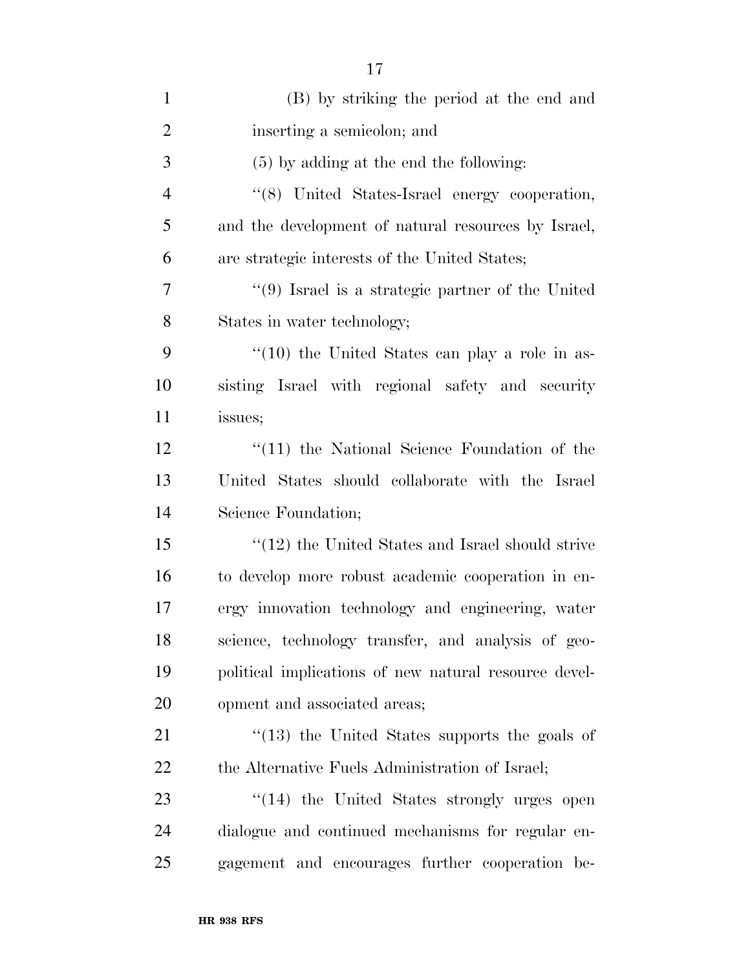| $\mathbf{1}$   | (B) by striking the period at the end and                 |
|----------------|-----------------------------------------------------------|
| $\overline{2}$ | inserting a semicolon; and                                |
| 3              | $(5)$ by adding at the end the following:                 |
| $\overline{4}$ | "(8) United States-Israel energy cooperation,             |
| 5              | and the development of natural resources by Israel,       |
| 6              | are strategic interests of the United States;             |
| 7              | $\lq(9)$ Israel is a strategic partner of the United      |
| 8              | States in water technology;                               |
| 9              | $\cdot\cdot(10)$ the United States can play a role in as- |
| 10             | sisting Israel with regional safety and security          |
| 11             | issues;                                                   |
| 12             | $\lq(11)$ the National Science Foundation of the          |
| 13             | United States should collaborate with the Israel          |
| 14             | Science Foundation;                                       |
| 15             | $\cdot$ (12) the United States and Israel should strive   |
| 16             | to develop more robust academic cooperation in en-        |
| 17             | ergy innovation technology and engineering, water         |
| 18             | science, technology transfer, and analysis of geo-        |
| 19             | political implications of new natural resource devel-     |
| 20             | opment and associated areas;                              |
| 21             | $\cdot$ (13) the United States supports the goals of      |
| 22             | the Alternative Fuels Administration of Israel;           |
| 23             | "(14) the United States strongly urges open               |
| 24             | dialogue and continued mechanisms for regular en-         |
| 25             | gagement and encourages further cooperation be-           |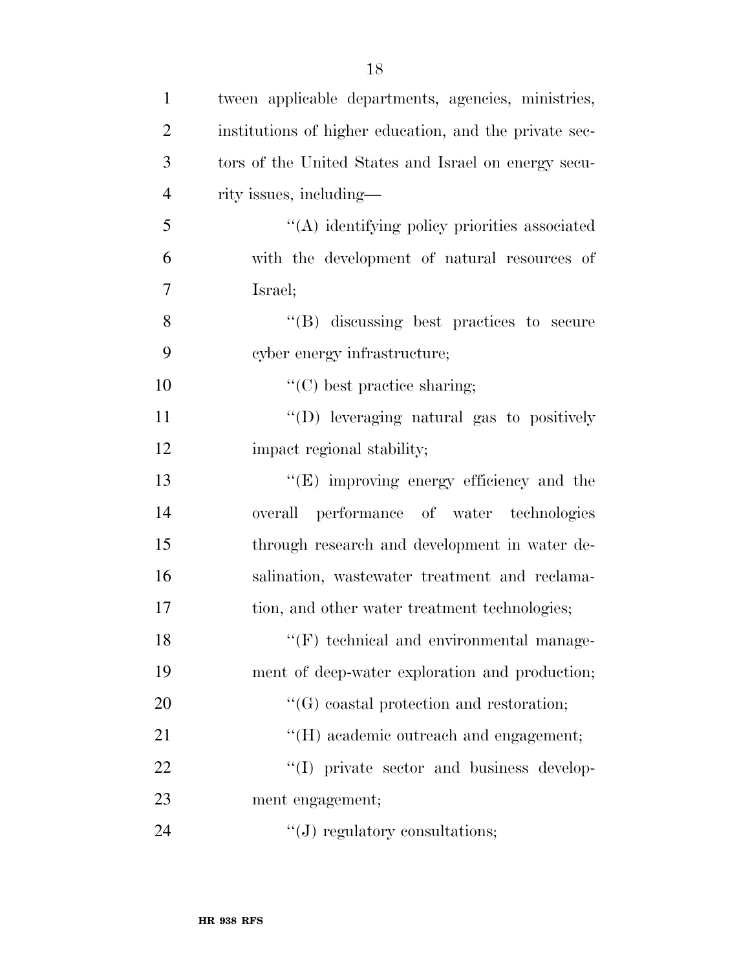| $\mathbf{1}$   | tween applicable departments, agencies, ministries,    |
|----------------|--------------------------------------------------------|
| $\overline{2}$ | institutions of higher education, and the private sec- |
| 3              | tors of the United States and Israel on energy secu-   |
| $\overline{4}$ | rity issues, including—                                |
| 5              | "(A) identifying policy priorities associated          |
| 6              | with the development of natural resources of           |
| $\overline{7}$ | Israel;                                                |
| 8              | $\lq\lq(B)$ discussing best practices to secure        |
| 9              | cyber energy infrastructure;                           |
| 10             | $\lq\lq$ (C) best practice sharing;                    |
| 11             | "(D) leveraging natural gas to positively              |
| 12             | impact regional stability;                             |
| 13             | "(E) improving energy efficiency and the               |
| 14             | overall performance of water technologies              |
| 15             | through research and development in water de-          |
| 16             | salination, was tewater treatment and reclama-         |
| 17             | tion, and other water treatment technologies;          |
| 18             | $\lq\lq(F)$ technical and environmental manage-        |
| 19             | ment of deep-water exploration and production;         |
| 20             | $\lq\lq(G)$ coastal protection and restoration;        |
| 21             | "(H) academic outreach and engagement;                 |
| 22             | "(I) private sector and business develop-              |
| 23             | ment engagement;                                       |
| 24             | $\lq\lq(J)$ regulatory consultations;                  |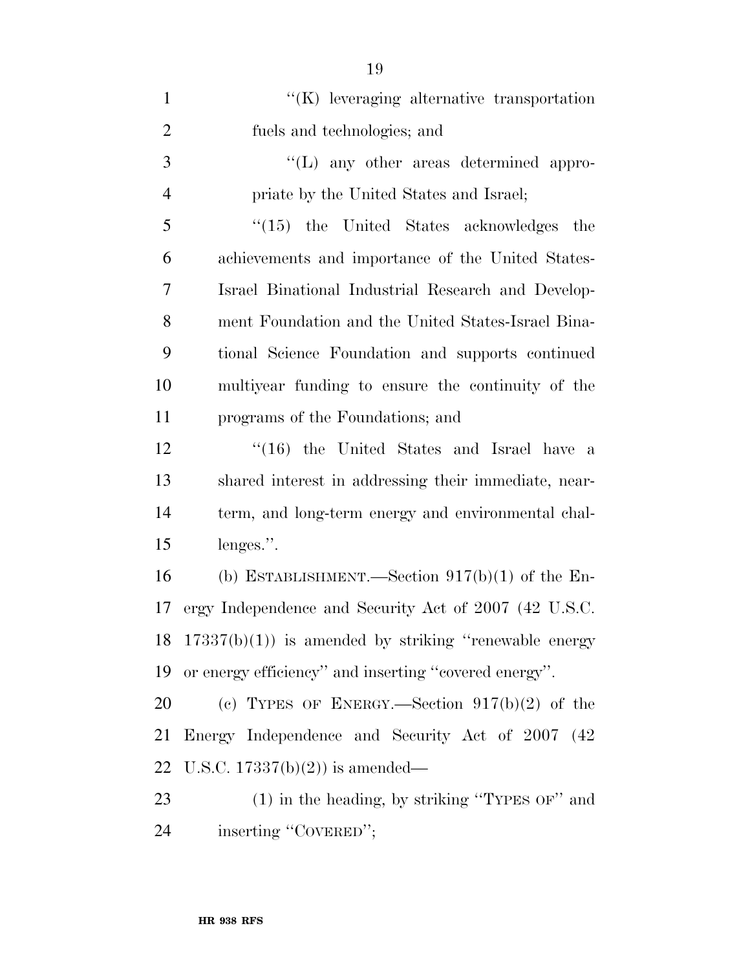| $\mathbf{1}$   | "(K) leveraging alternative transportation             |
|----------------|--------------------------------------------------------|
| $\overline{2}$ | fuels and technologies; and                            |
| $\mathfrak{Z}$ | $\lq\lq$ . The areas determined appro-                 |
| $\overline{4}$ | priate by the United States and Israel;                |
| 5              | $\lq(15)$ the United States acknowledges<br>the        |
| 6              | achievements and importance of the United States-      |
| 7              | Israel Binational Industrial Research and Develop-     |
| 8              | ment Foundation and the United States-Israel Bina-     |
| 9              | tional Science Foundation and supports continued       |
| 10             | multiyear funding to ensure the continuity of the      |
| 11             | programs of the Foundations; and                       |
| 12             | $\cdot$ (16) the United States and Israel have a       |
| 13             | shared interest in addressing their immediate, near-   |
| 14             | term, and long-term energy and environmental chal-     |
| 15             | lenges.".                                              |
| 16             | (b) ESTABLISHMENT.—Section $917(b)(1)$ of the En-      |
| 17             | ergy Independence and Security Act of 2007 (42 U.S.C.  |
| 18             | $17337(b)(1)$ is amended by striking "renewable energy |
| 19             | or energy efficiency" and inserting "covered energy".  |
| 20             | (c) TYPES OF ENERGY.—Section $917(b)(2)$ of the        |
| 21             | Energy Independence and Security Act of 2007 (42)      |
| 22             | U.S.C. $17337(b)(2)$ is amended—                       |
| 23             | $(1)$ in the heading, by striking "TYPES OF" and       |
| 24             | inserting "COVERED";                                   |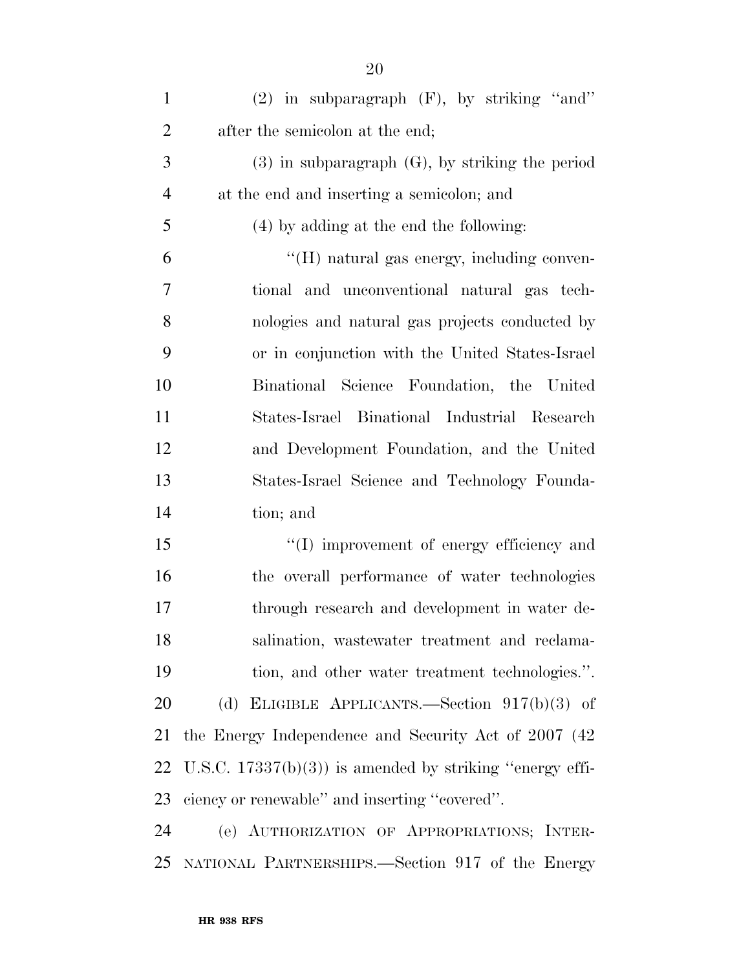| $\mathbf{1}$   | $(2)$ in subparagraph $(F)$ , by striking "and"           |
|----------------|-----------------------------------------------------------|
| $\overline{2}$ | after the semicolon at the end;                           |
| 3              | $(3)$ in subparagraph $(G)$ , by striking the period      |
| $\overline{4}$ | at the end and inserting a semicolon; and                 |
| 5              | (4) by adding at the end the following:                   |
| 6              | "(H) natural gas energy, including conven-                |
| 7              | tional and unconventional natural gas tech-               |
| 8              | nologies and natural gas projects conducted by            |
| 9              | or in conjunction with the United States-Israel           |
| 10             | Binational Science Foundation, the United                 |
| 11             | States-Israel Binational Industrial Research              |
| 12             | and Development Foundation, and the United                |
| 13             | States-Israel Science and Technology Founda-              |
| 14             | tion; and                                                 |
| 15             | "(I) improvement of energy efficiency and                 |
| 16             | the overall performance of water technologies             |
| 17             | through research and development in water de-             |
| 18             | salination, wastewater treatment and reclama-             |
| 19             | tion, and other water treatment technologies.".           |
| 20             | (d) ELIGIBLE APPLICANTS.—Section $917(b)(3)$ of           |
| 21             | the Energy Independence and Security Act of 2007 (42)     |
| 22             | U.S.C. $17337(b)(3)$ is amended by striking "energy effi- |
| 23             | ciency or renewable" and inserting "covered".             |
| 24             | (e) AUTHORIZATION OF APPROPRIATIONS; INTER-               |
| 25             | NATIONAL PARTNERSHIPS.—Section 917 of the Energy          |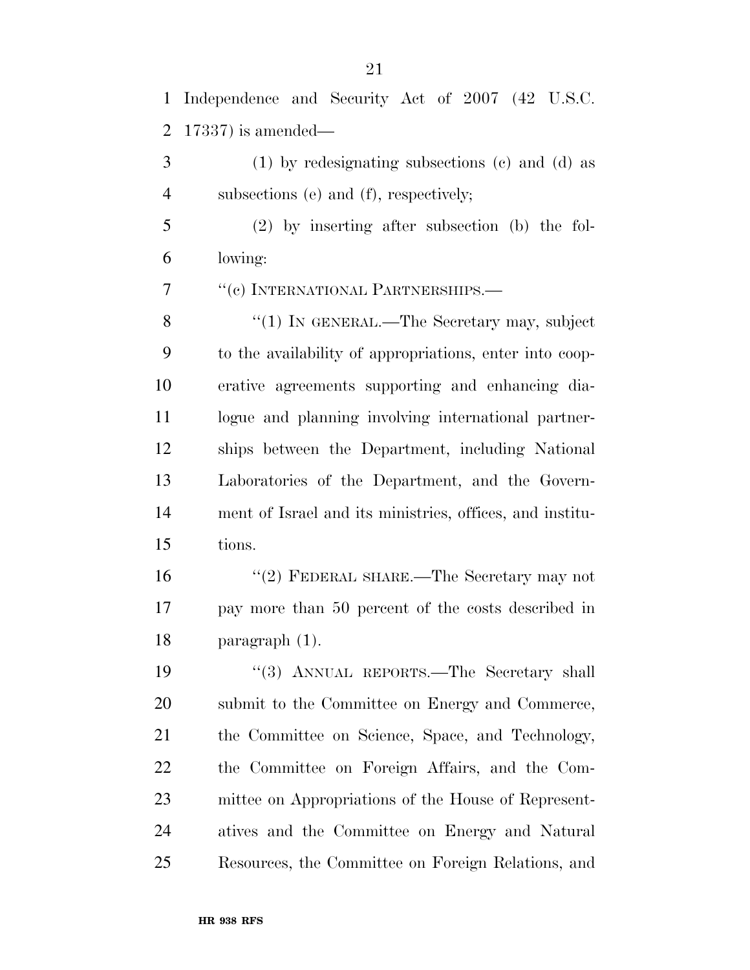Independence and Security Act of 2007 (42 U.S.C. 17337) is amended—

 (1) by redesignating subsections (c) and (d) as 4 subsections (e) and (f), respectively;

 (2) by inserting after subsection (b) the fol-lowing:

''(c) INTERNATIONAL PARTNERSHIPS.—

8 "(1) IN GENERAL.—The Secretary may, subject to the availability of appropriations, enter into coop- erative agreements supporting and enhancing dia- logue and planning involving international partner- ships between the Department, including National Laboratories of the Department, and the Govern- ment of Israel and its ministries, offices, and institu-tions.

 ''(2) FEDERAL SHARE.—The Secretary may not pay more than 50 percent of the costs described in paragraph (1).

19 "(3) ANNUAL REPORTS.—The Secretary shall submit to the Committee on Energy and Commerce, the Committee on Science, Space, and Technology, the Committee on Foreign Affairs, and the Com- mittee on Appropriations of the House of Represent- atives and the Committee on Energy and Natural Resources, the Committee on Foreign Relations, and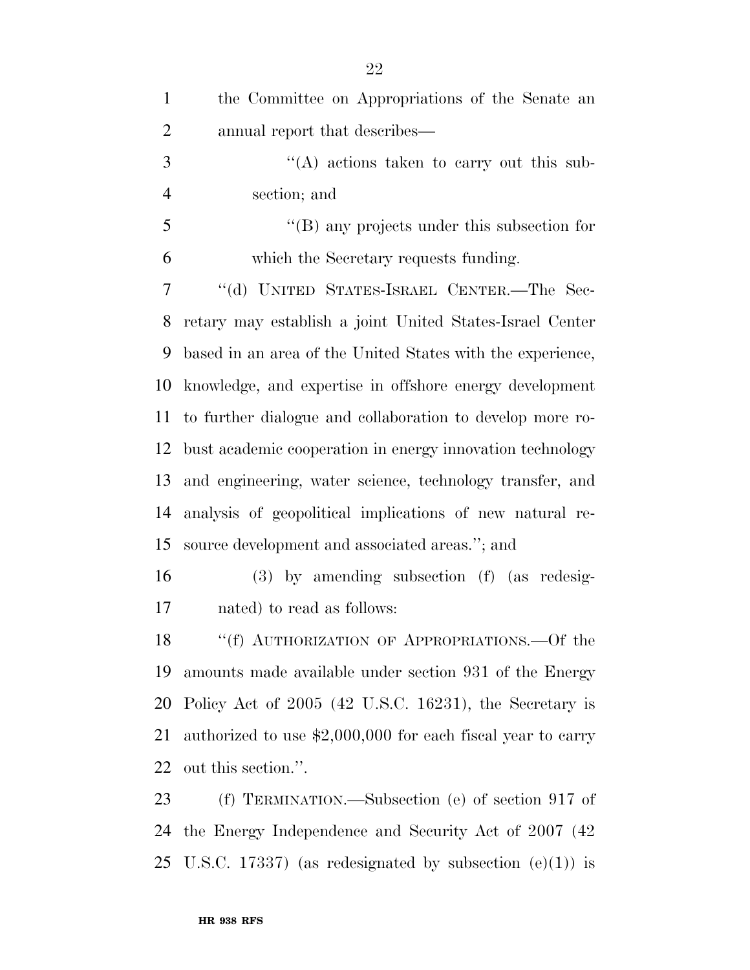| $\mathbf{1}$   | the Committee on Appropriations of the Senate an             |
|----------------|--------------------------------------------------------------|
| $\overline{2}$ | annual report that describes—                                |
| 3              | $\lq\lq$ actions taken to carry out this sub-                |
| $\overline{4}$ | section; and                                                 |
| 5              | $\lq\lq$ (B) any projects under this subsection for          |
| 6              | which the Secretary requests funding.                        |
| 7              | "(d) UNITED STATES-ISRAEL CENTER.-The Sec-                   |
| 8              | retary may establish a joint United States-Israel Center     |
| 9              | based in an area of the United States with the experience,   |
| 10             | knowledge, and expertise in offshore energy development      |
| 11             | to further dialogue and collaboration to develop more ro-    |
| 12             | bust academic cooperation in energy innovation technology    |
| 13             | and engineering, water science, technology transfer, and     |
| 14             | analysis of geopolitical implications of new natural re-     |
| 15             | source development and associated areas."; and               |
| 16             | $(3)$ by amending subsection $(f)$ (as redesig-              |
| 17             | nated) to read as follows:                                   |
| 18             | "(f) AUTHORIZATION OF APPROPRIATIONS.—Of the                 |
| 19             | amounts made available under section 931 of the Energy       |
| 20             | Policy Act of 2005 (42 U.S.C. 16231), the Secretary is       |
| 21             | authorized to use $$2,000,000$ for each fiscal year to carry |
| 22             | out this section.".                                          |
| 23             | $(f)$ TERMINATION.—Subsection (e) of section 917 of          |
| 24             | the Energy Independence and Security Act of 2007 (42)        |

U.S.C. 17337) (as redesignated by subsection (e)(1)) is